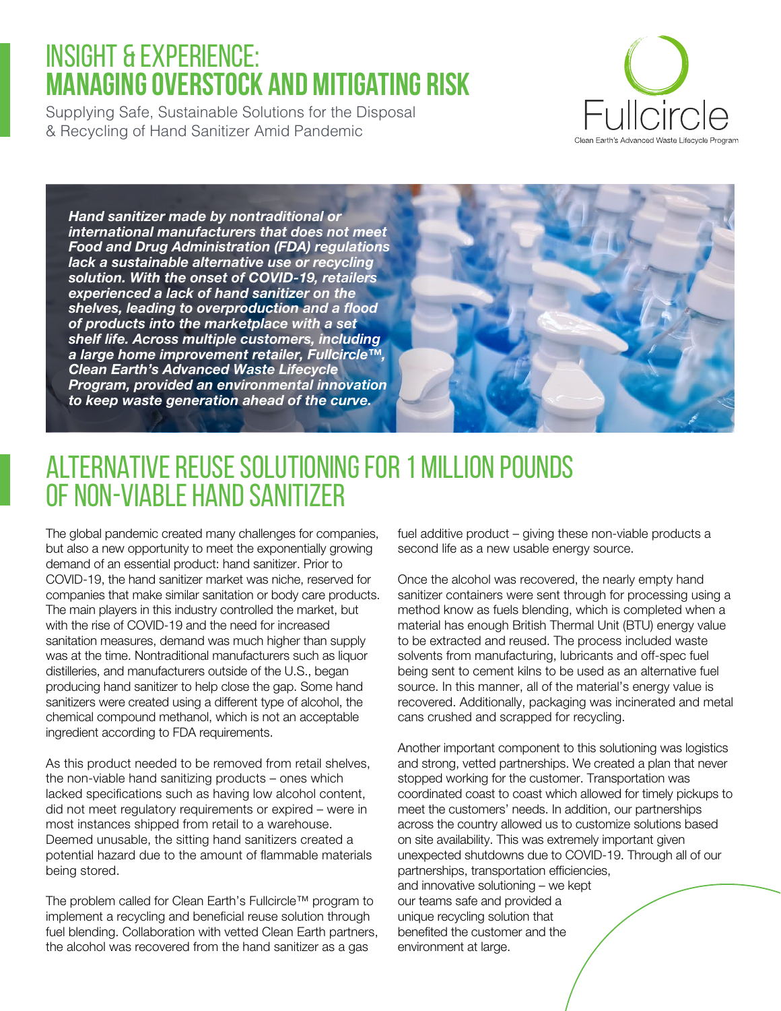# INSIGHT & EXPERIENCE: **Managing Overstock and Mitigating Risk**

Supplying Safe, Sustainable Solutions for the Disposal & Recycling of Hand Sanitizer Amid Pandemic



*Hand sanitizer made by nontraditional or international manufacturers that does not meet Food and Drug Administration (FDA) regulations lack a sustainable alternative use or recycling solution. With the onset of COVID-19, retailers experienced a lack of hand sanitizer on the shelves, leading to overproduction and a flood of products into the marketplace with a set shelf life. Across multiple customers, including a large home improvement retailer, Fullcircle™, Clean Earth's Advanced Waste Lifecycle Program, provided an environmental innovation to keep waste generation ahead of the curve.*



# Alternative Reuse Solutioning for 1 Million Pounds of Non-Viable Hand Sanitizer

The global pandemic created many challenges for companies, but also a new opportunity to meet the exponentially growing demand of an essential product: hand sanitizer. Prior to COVID-19, the hand sanitizer market was niche, reserved for companies that make similar sanitation or body care products. The main players in this industry controlled the market, but with the rise of COVID-19 and the need for increased sanitation measures, demand was much higher than supply was at the time. Nontraditional manufacturers such as liquor distilleries, and manufacturers outside of the U.S., began producing hand sanitizer to help close the gap. Some hand sanitizers were created using a different type of alcohol, the chemical compound methanol, which is not an acceptable ingredient according to FDA requirements.

As this product needed to be removed from retail shelves, the non-viable hand sanitizing products – ones which lacked specifications such as having low alcohol content, did not meet regulatory requirements or expired – were in most instances shipped from retail to a warehouse. Deemed unusable, the sitting hand sanitizers created a potential hazard due to the amount of flammable materials being stored.

The problem called for Clean Earth's Fullcircle™ program to implement a recycling and beneficial reuse solution through fuel blending. Collaboration with vetted Clean Earth partners, the alcohol was recovered from the hand sanitizer as a gas

fuel additive product – giving these non-viable products a second life as a new usable energy source.

Once the alcohol was recovered, the nearly empty hand sanitizer containers were sent through for processing using a method know as fuels blending, which is completed when a material has enough British Thermal Unit (BTU) energy value to be extracted and reused. The process included waste solvents from manufacturing, lubricants and off-spec fuel being sent to cement kilns to be used as an alternative fuel source. In this manner, all of the material's energy value is recovered. Additionally, packaging was incinerated and metal cans crushed and scrapped for recycling.

Another important component to this solutioning was logistics and strong, vetted partnerships. We created a plan that never stopped working for the customer. Transportation was coordinated coast to coast which allowed for timely pickups to meet the customers' needs. In addition, our partnerships across the country allowed us to customize solutions based on site availability. This was extremely important given unexpected shutdowns due to COVID-19. Through all of our partnerships, transportation efficiencies, and innovative solutioning – we kept our teams safe and provided a unique recycling solution that benefited the customer and the environment at large.